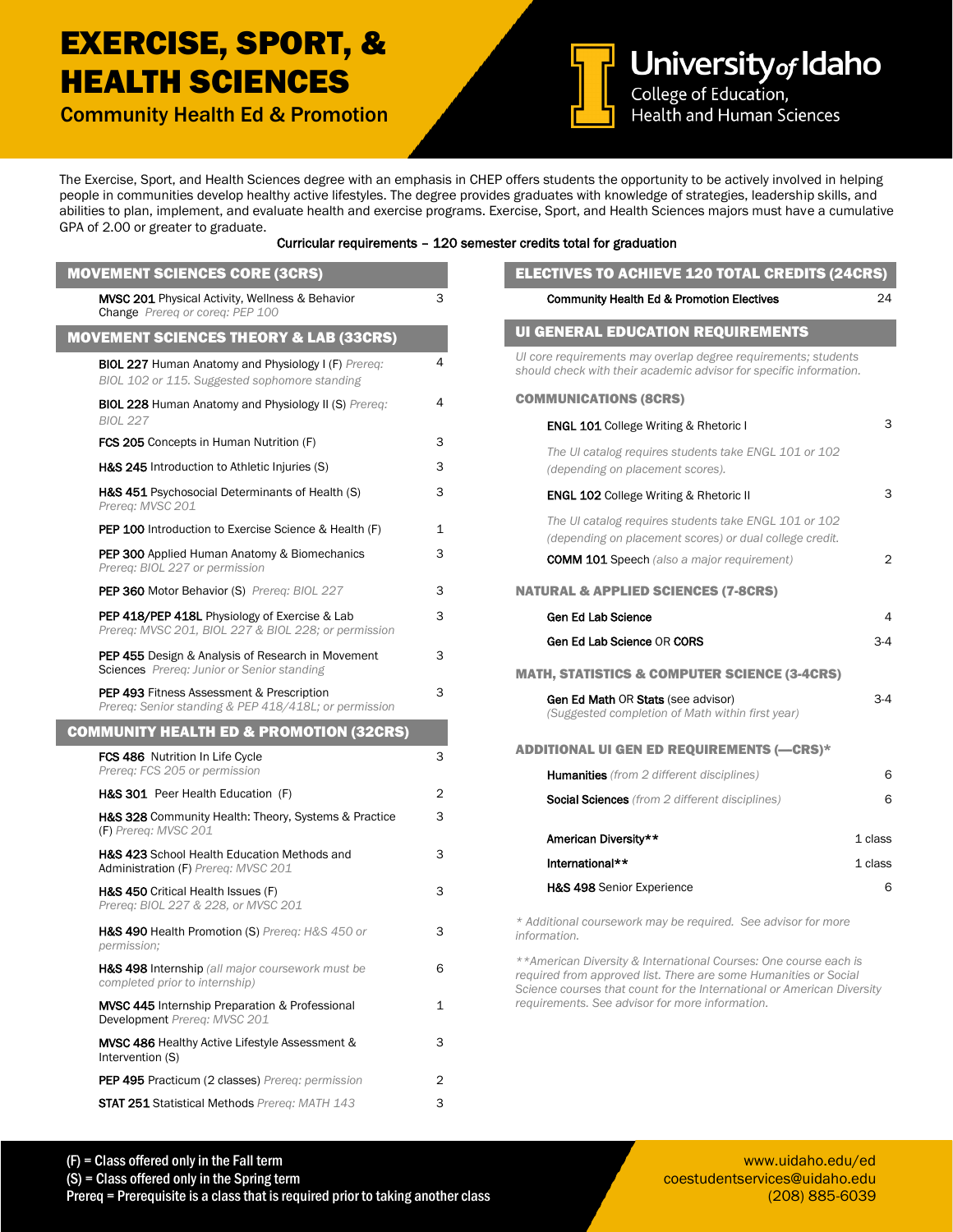## EXERCISE, SPORT, & HEALTH SCIENCES

Community Health Ed & Promotion



University of Idaho College of Education, Health and Human Sciences

The Exercise, Sport, and Health Sciences degree with an emphasis in CHEP offers students the opportunity to be actively involved in helping people in communities develop healthy active lifestyles. The degree provides graduates with knowledge of strategies, leadership skills, and abilities to plan, implement, and evaluate health and exercise programs. Exercise, Sport, and Health Sciences majors must have a cumulative GPA of 2.00 or greater to graduate.

## Curricular requirements – 120 semester credits total for graduation

| <b>MOVEMENT SCIENCES CORE (3CRS)</b>                                                                          |   | <b>ELECTIVES TO ACHIEVE 120 TOTAL CREDITS (24CRS)</b>                                                                                 |                |  |  |
|---------------------------------------------------------------------------------------------------------------|---|---------------------------------------------------------------------------------------------------------------------------------------|----------------|--|--|
| <b>MVSC 201</b> Physical Activity, Wellness & Behavior<br>Change Prereg or coreg: PEP 100                     |   | <b>Community Health Ed &amp; Promotion Electives</b>                                                                                  | 24             |  |  |
| <b>MOVEMENT SCIENCES THEORY &amp; LAB (33CRS)</b>                                                             |   | <b>UI GENERAL EDUCATION REQUIREMENTS</b>                                                                                              |                |  |  |
| <b>BIOL 227 Human Anatomy and Physiology I (F) Prereg:</b><br>BIOL 102 or 115. Suggested sophomore standing   | 4 | Ul core requirements may overlap degree requirements; students<br>should check with their academic advisor for specific information.  |                |  |  |
| <b>BIOL 228 Human Anatomy and Physiology II (S) Prereg:</b><br><b>BIOL 227</b>                                | 4 | <b>COMMUNICATIONS (8CRS)</b>                                                                                                          | 3              |  |  |
| FCS 205 Concepts in Human Nutrition (F)                                                                       | 3 | <b>ENGL 101 College Writing &amp; Rhetoric I</b>                                                                                      |                |  |  |
| H&S 245 Introduction to Athletic Injuries (S)                                                                 | 3 | The UI catalog requires students take ENGL 101 or 102<br>(depending on placement scores).                                             |                |  |  |
| H&S 451 Psychosocial Determinants of Health (S)                                                               | 3 | 3<br><b>ENGL 102 College Writing &amp; Rhetoric II</b>                                                                                |                |  |  |
| Prereq: MVSC 201<br><b>PEP 100</b> Introduction to Exercise Science & Health (F)                              | 1 | The UI catalog requires students take ENGL 101 or 102<br>(depending on placement scores) or dual college credit.                      |                |  |  |
| <b>PEP 300</b> Applied Human Anatomy & Biomechanics<br>Prereg: BIOL 227 or permission                         | 3 | <b>COMM 101 Speech</b> (also a major requirement)<br>$\overline{2}$                                                                   |                |  |  |
| PEP 360 Motor Behavior (S) Prereg: BIOL 227                                                                   | 3 | <b>NATURAL &amp; APPLIED SCIENCES (7-8CRS)</b>                                                                                        |                |  |  |
| <b>PEP 418/PEP 418L</b> Physiology of Exercise & Lab                                                          | 3 | Gen Ed Lab Science                                                                                                                    | $\overline{4}$ |  |  |
| Prereg: MVSC 201, BIOL 227 & BIOL 228; or permission                                                          |   | Gen Ed Lab Science OR CORS                                                                                                            | $3 - 4$        |  |  |
| <b>PEP 455</b> Design & Analysis of Research in Movement<br>Sciences Prereq: Junior or Senior standing        | 3 | <b>MATH, STATISTICS &amp; COMPUTER SCIENCE (3-4CRS)</b>                                                                               |                |  |  |
| <b>PEP 493 Fitness Assessment &amp; Prescription</b><br>Prereq: Senior standing & PEP 418/418L; or permission | 3 | Gen Ed Math OR Stats (see advisor)<br>(Suggested completion of Math within first year)                                                | $3-4$          |  |  |
| <b>COMMUNITY HEALTH ED &amp; PROMOTION (32CRS)</b>                                                            |   |                                                                                                                                       |                |  |  |
| FCS 486 Nutrition In Life Cycle<br>Prereq: FCS 205 or permission                                              | 3 | <b>ADDITIONAL UI GEN ED REQUIREMENTS (-CRS)*</b>                                                                                      |                |  |  |
| H&S 301 Peer Health Education (F)                                                                             | 2 | <b>Humanities</b> (from 2 different disciplines)                                                                                      | 6              |  |  |
| H&S 328 Community Health: Theory, Systems & Practice                                                          | 3 | <b>Social Sciences</b> (from 2 different disciplines)                                                                                 | 6              |  |  |
| (F) Prereg: MVSC 201                                                                                          |   | American Diversity**                                                                                                                  | 1 class        |  |  |
| <b>H&amp;S 423</b> School Health Education Methods and<br>Administration (F) Prereg: MVSC 201                 | 3 | International**                                                                                                                       | 1 class        |  |  |
| H&S 450 Critical Health Issues (F)<br>Prereq: BIOL 227 & 228, or MVSC 201                                     | 3 | H&S 498 Senior Experience                                                                                                             | 6              |  |  |
| H&S 490 Health Promotion (S) Prereg: H&S 450 or<br>permission;                                                | 3 | * Additional coursework may be required. See advisor for more<br>information.                                                         |                |  |  |
| H&S 498 Internship (all major coursework must be<br>completed prior to internship)                            | 6 | ** American Diversity & International Courses: One course each is<br>required from approved list. There are some Humanities or Social |                |  |  |
| <b>MVSC 445</b> Internship Preparation & Professional<br>Development Prereg: MVSC 201                         | 1 | Science courses that count for the International or American Diversity<br>requirements. See advisor for more information.             |                |  |  |
| <b>MVSC 486 Healthy Active Lifestyle Assessment &amp;</b><br>Intervention (S)                                 | 3 |                                                                                                                                       |                |  |  |
| PEP 495 Practicum (2 classes) Prereq: permission                                                              | 2 |                                                                                                                                       |                |  |  |
| <b>STAT 251 Statistical Methods Prereq: MATH 143</b>                                                          | 3 |                                                                                                                                       |                |  |  |

www.uidaho.edu/ed coestudentservices@uidaho.edu (208) 885-6039